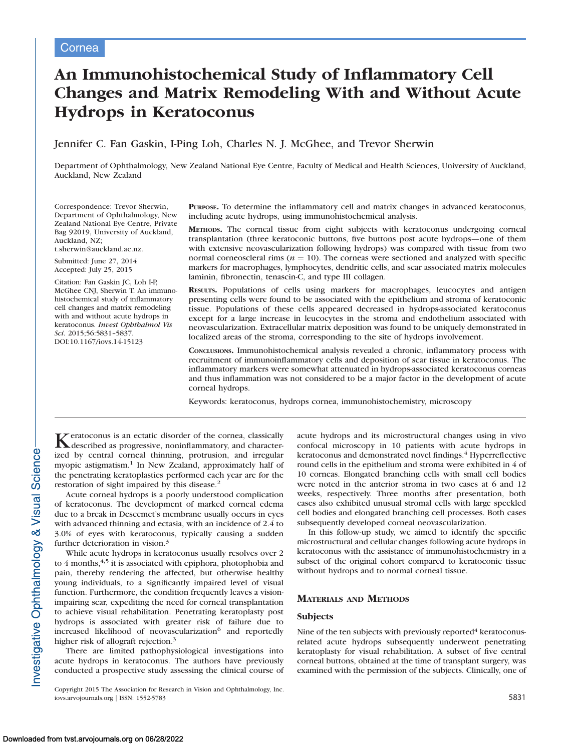# An Immunohistochemical Study of Inflammatory Cell Changes and Matrix Remodeling With and Without Acute Hydrops in Keratoconus

## Jennifer C. Fan Gaskin, I-Ping Loh, Charles N. J. McGhee, and Trevor Sherwin

Department of Ophthalmology, New Zealand National Eye Centre, Faculty of Medical and Health Sciences, University of Auckland, Auckland, New Zealand

Correspondence: Trevor Sherwin, Department of Ophthalmology, New Zealand National Eye Centre, Private Bag 92019, University of Auckland, Auckland, NZ; t.sherwin@auckland.ac.nz.

Submitted: June 27, 2014 Accepted: July 25, 2015

Citation: Fan Gaskin JC, Loh I-P, McGhee CNJ, Sherwin T. An immunohistochemical study of inflammatory cell changes and matrix remodeling with and without acute hydrops in keratoconus. Invest Ophthalmol Vis Sci. 2015;56:5831–5837. DOI:10.1167/iovs.14-15123

PURPOSE. To determine the inflammatory cell and matrix changes in advanced keratoconus, including acute hydrops, using immunohistochemical analysis.

METHODS. The corneal tissue from eight subjects with keratoconus undergoing corneal transplantation (three keratoconic buttons, five buttons post acute hydrops—one of them with extensive neovascularization following hydrops) was compared with tissue from two normal corneoscleral rims ( $n = 10$ ). The corneas were sectioned and analyzed with specific markers for macrophages, lymphocytes, dendritic cells, and scar associated matrix molecules laminin, fibronectin, tenascin-C, and type III collagen.

RESULTS. Populations of cells using markers for macrophages, leucocytes and antigen presenting cells were found to be associated with the epithelium and stroma of keratoconic tissue. Populations of these cells appeared decreased in hydrops-associated keratoconus except for a large increase in leucocytes in the stroma and endothelium associated with neovascularization. Extracellular matrix deposition was found to be uniquely demonstrated in localized areas of the stroma, corresponding to the site of hydrops involvement.

CONCLUSIONS. Immunohistochemical analysis revealed a chronic, inflammatory process with recruitment of immunoinflammatory cells and deposition of scar tissue in keratoconus. The inflammatory markers were somewhat attenuated in hydrops-associated keratoconus corneas and thus inflammation was not considered to be a major factor in the development of acute corneal hydrops.

Keywords: keratoconus, hydrops cornea, immunohistochemistry, microscopy

Keratoconus is an ectatic disorder of the cornea, classically described as progressive, noninflammatory, and characterized by central corneal thinning, protrusion, and irregular myopic astigmatism.<sup>1</sup> In New Zealand, approximately half of the penetrating keratoplasties performed each year are for the restoration of sight impaired by this disease.<sup>2</sup>

Acute corneal hydrops is a poorly understood complication of keratoconus. The development of marked corneal edema due to a break in Descemet's membrane usually occurs in eyes with advanced thinning and ectasia, with an incidence of 2.4 to 3.0% of eyes with keratoconus, typically causing a sudden further deterioration in vision.<sup>3</sup>

While acute hydrops in keratoconus usually resolves over 2 to  $4$  months,  $4,5$  it is associated with epiphora, photophobia and pain, thereby rendering the affected, but otherwise healthy young individuals, to a significantly impaired level of visual function. Furthermore, the condition frequently leaves a visionimpairing scar, expediting the need for corneal transplantation to achieve visual rehabilitation. Penetrating keratoplasty post hydrops is associated with greater risk of failure due to increased likelihood of neovascularization<sup>6</sup> and reportedly higher risk of allograft rejection.<sup>3</sup>

There are limited pathophysiological investigations into acute hydrops in keratoconus. The authors have previously conducted a prospective study assessing the clinical course of acute hydrops and its microstructural changes using in vivo confocal microscopy in 10 patients with acute hydrops in keratoconus and demonstrated novel findings.<sup>4</sup> Hyperreflective round cells in the epithelium and stroma were exhibited in 4 of 10 corneas. Elongated branching cells with small cell bodies were noted in the anterior stroma in two cases at 6 and 12 weeks, respectively. Three months after presentation, both cases also exhibited unusual stromal cells with large speckled cell bodies and elongated branching cell processes. Both cases subsequently developed corneal neovascularization.

In this follow-up study, we aimed to identify the specific microstructural and cellular changes following acute hydrops in keratoconus with the assistance of immunohistochemistry in a subset of the original cohort compared to keratoconic tissue without hydrops and to normal corneal tissue.

# MATERIALS AND METHODS

## **Subjects**

Nine of the ten subjects with previously reported $4$  keratoconusrelated acute hydrops subsequently underwent penetrating keratoplasty for visual rehabilitation. A subset of five central corneal buttons, obtained at the time of transplant surgery, was examined with the permission of the subjects. Clinically, one of

Copyright 2015 The Association for Research in Vision and Ophthalmology, Inc. iovs.arvojournals.org | ISSN: 1552-5783 5831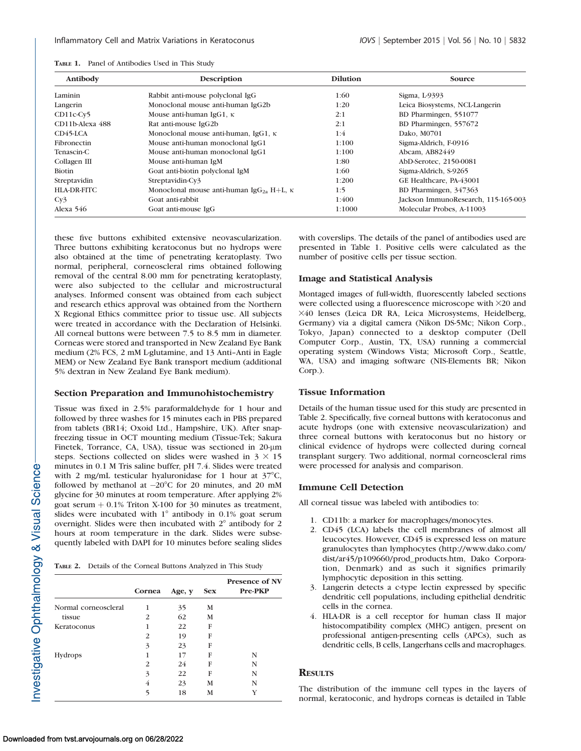| Antibody           | Description                                                 | <b>Dilution</b> | Source                              |
|--------------------|-------------------------------------------------------------|-----------------|-------------------------------------|
| Laminin            | Rabbit anti-mouse polyclonal IgG                            | 1:60            | Sigma, L-9393                       |
| Langerin           | Monoclonal mouse anti-human IgG2b                           | 1:20            | Leica Biosystems, NCL-Langerin      |
| $CD11c-Cv5$        | Mouse anti-human IgG1, $\kappa$                             | 2:1             | BD Pharmingen, 551077               |
| CD11b-Alexa 488    | Rat anti-mouse IgG2b                                        | 2:1             | BD Pharmingen, 557672               |
| $CD45-LCA$         | Monoclonal mouse anti-human, IgG1, κ                        | 1:4             | Dako, M0701                         |
| Fibronectin        | Mouse anti-human monoclonal IgG1                            | 1:100           | Sigma-Aldrich, F-0916               |
| Tenascin-C         | Mouse anti-human monoclonal IgG1                            | 1:100           | Abcam, AB82449                      |
| Collagen III       | Mouse anti-human IgM                                        | 1:80            | AbD-Serotec, 2150-0081              |
| Biotin             | Goat anti-biotin polyclonal IgM                             | 1:60            | Sigma-Aldrich, S-9265               |
| Streptavidin       | Streptavidin-Cv3                                            | 1:200           | GE Healthcare, PA-43001             |
| <b>HLA-DR-FITC</b> | Monoclonal mouse anti-human IgG <sub>2a</sub> H+L, $\kappa$ | 1:5             | BD Pharmingen, 347363               |
| Cy <sub>3</sub>    | Goat anti-rabbit                                            | 1:400           | Jackson ImmunoResearch, 115-165-003 |
| Alexa $546$        | Goat anti-mouse IgG                                         | 1:1000          | Molecular Probes, A-11003           |

TABLE 1. Panel of Antibodies Used in This Study

these five buttons exhibited extensive neovascularization. Three buttons exhibiting keratoconus but no hydrops were also obtained at the time of penetrating keratoplasty. Two normal, peripheral, corneoscleral rims obtained following removal of the central 8.00 mm for penetrating keratoplasty, were also subjected to the cellular and microstructural analyses. Informed consent was obtained from each subject and research ethics approval was obtained from the Northern X Regional Ethics committee prior to tissue use. All subjects were treated in accordance with the Declaration of Helsinki. All corneal buttons were between 7.5 to 8.5 mm in diameter. Corneas were stored and transported in New Zealand Eye Bank medium (2% FCS, 2 mM L-glutamine, and 13 Anti–Anti in Eagle MEM) or New Zealand Eye Bank transport medium (additional 5% dextran in New Zealand Eye Bank medium).

### Section Preparation and Immunohistochemistry

Tissue was fixed in 2.5% paraformaldehyde for 1 hour and followed by three washes for 15 minutes each in PBS prepared from tablets (BR14; Oxoid Ltd., Hampshire, UK). After snapfreezing tissue in OCT mounting medium (Tissue-Tek; Sakura Finetek, Torrance, CA, USA), tissue was sectioned in 20-µm steps. Sections collected on slides were washed in  $3 \times 15$ minutes in 0.1 M Tris saline buffer, pH 7.4. Slides were treated with 2 mg/mL testicular hyaluronidase for 1 hour at  $37^{\circ}$ C, followed by methanol at  $-20^{\circ}$ C for 20 minutes, and 20 mM glycine for 30 minutes at room temperature. After applying 2% goat serum  $+0.1\%$  Triton X-100 for 30 minutes as treatment, slides were incubated with  $1^\circ$  antibody in 0.1% goat serum overnight. Slides were then incubated with  $2^\circ$  antibody for 2 hours at room temperature in the dark. Slides were subsequently labeled with DAPI for 10 minutes before sealing slides

| TABLE 2. Details of the Corneal Buttons Analyzed in This Study |  |
|----------------------------------------------------------------|--|
|----------------------------------------------------------------|--|

|                      | Cornea | Age, y | <b>Sex</b> | <b>Presence of NV</b><br><b>Pre-PKP</b> |
|----------------------|--------|--------|------------|-----------------------------------------|
| Normal corneoscleral | 1      | 35     | М          |                                         |
| tissue               | 2      | 62     | М          |                                         |
| Keratoconus          |        | 22     | F          |                                         |
|                      | 2      | 19     | F          |                                         |
|                      | 3      | 23     | F          |                                         |
| Hydrops              |        | 17     | F          | N                                       |
|                      | 2      | 24     | F          | N                                       |
|                      | 3      | 22     | F          | N                                       |
|                      | 4      | 23     | М          | N                                       |
|                      | 5      | 18     | М          |                                         |

with coverslips. The details of the panel of antibodies used are presented in Table 1. Positive cells were calculated as the number of positive cells per tissue section.

## Image and Statistical Analysis

Montaged images of full-width, fluorescently labeled sections were collected using a fluorescence microscope with  $\times$ 20 and 340 lenses (Leica DR RA, Leica Microsystems, Heidelberg, Germany) via a digital camera (Nikon DS-5Mc; Nikon Corp., Tokyo, Japan) connected to a desktop computer (Dell Computer Corp., Austin, TX, USA) running a commercial operating system (Windows Vista; Microsoft Corp., Seattle, WA, USA) and imaging software (NIS-Elements BR; Nikon Corp.).

#### Tissue Information

Details of the human tissue used for this study are presented in Table 2. Specifically, five corneal buttons with keratoconus and acute hydrops (one with extensive neovascularization) and three corneal buttons with keratoconus but no history or clinical evidence of hydrops were collected during corneal transplant surgery. Two additional, normal corneoscleral rims were processed for analysis and comparison.

## Immune Cell Detection

All corneal tissue was labeled with antibodies to:

- 1. CD11b: a marker for macrophages/monocytes.
- 2. CD45 (LCA) labels the cell membranes of almost all leucocytes. However, CD45 is expressed less on mature granulocytes than lymphocytes (http://www.dako.com/ dist/ar45/p109660/prod\_products.htm, Dako Corporation, Denmark) and as such it signifies primarily lymphocytic deposition in this setting.
- 3. Langerin detects a c-type lectin expressed by specific dendritic cell populations, including epithelial dendritic cells in the cornea.
- 4. HLA-DR is a cell receptor for human class II major histocompatibility complex (MHC) antigen, present on professional antigen-presenting cells (APCs), such as dendritic cells, B cells, Langerhans cells and macrophages.

# **RESULTS**

The distribution of the immune cell types in the layers of normal, keratoconic, and hydrops corneas is detailed in Table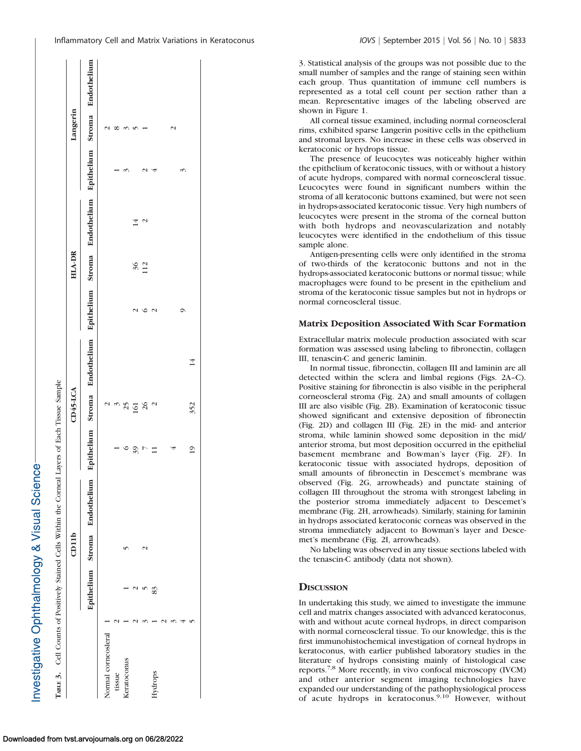## Matrix Deposition Associated With Scar Formation

## **DISCUSSION**

Investigative Ophthalmology & Visual Science

|                                                                                                                                                                                                                                                                                                                                                                                                                                                                                                                                         |                                                                                    | CD11b                                                                                                                                              |                                                                                                                                                                                                                                                                                                                                                                                     |                                                                                                                                                                                                                                                                                                                                                                            | $CD45$ -LCA                                                                                                                                                                                                                                                            |                                                                                                                                                                                                                                                                                                           |                                                                                  | HLA-DR                                                                                                                                                                                                                                                                                                                   |                                                                                                                                                                                                                                                                                                                                         |                                                                                                                                                                                                                                                                                          | Langerin                                                                                                                                                                                                                |                                                                                                                                                                                                                                                                                                                          |
|-----------------------------------------------------------------------------------------------------------------------------------------------------------------------------------------------------------------------------------------------------------------------------------------------------------------------------------------------------------------------------------------------------------------------------------------------------------------------------------------------------------------------------------------|------------------------------------------------------------------------------------|----------------------------------------------------------------------------------------------------------------------------------------------------|-------------------------------------------------------------------------------------------------------------------------------------------------------------------------------------------------------------------------------------------------------------------------------------------------------------------------------------------------------------------------------------|----------------------------------------------------------------------------------------------------------------------------------------------------------------------------------------------------------------------------------------------------------------------------------------------------------------------------------------------------------------------------|------------------------------------------------------------------------------------------------------------------------------------------------------------------------------------------------------------------------------------------------------------------------|-----------------------------------------------------------------------------------------------------------------------------------------------------------------------------------------------------------------------------------------------------------------------------------------------------------|----------------------------------------------------------------------------------|--------------------------------------------------------------------------------------------------------------------------------------------------------------------------------------------------------------------------------------------------------------------------------------------------------------------------|-----------------------------------------------------------------------------------------------------------------------------------------------------------------------------------------------------------------------------------------------------------------------------------------------------------------------------------------|------------------------------------------------------------------------------------------------------------------------------------------------------------------------------------------------------------------------------------------------------------------------------------------|-------------------------------------------------------------------------------------------------------------------------------------------------------------------------------------------------------------------------|--------------------------------------------------------------------------------------------------------------------------------------------------------------------------------------------------------------------------------------------------------------------------------------------------------------------------|
|                                                                                                                                                                                                                                                                                                                                                                                                                                                                                                                                         | Epithelium                                                                         | Stroma                                                                                                                                             | Endotheliun                                                                                                                                                                                                                                                                                                                                                                         | Epithelium                                                                                                                                                                                                                                                                                                                                                                 | Stroma                                                                                                                                                                                                                                                                 | Endothelium                                                                                                                                                                                                                                                                                               | Epithelium                                                                       | Stroma                                                                                                                                                                                                                                                                                                                   | Endothelium                                                                                                                                                                                                                                                                                                                             | Epithelium                                                                                                                                                                                                                                                                               | Stroma                                                                                                                                                                                                                  | Endothelium                                                                                                                                                                                                                                                                                                              |
| Normal corneosleral<br>tissue                                                                                                                                                                                                                                                                                                                                                                                                                                                                                                           |                                                                                    |                                                                                                                                                    |                                                                                                                                                                                                                                                                                                                                                                                     |                                                                                                                                                                                                                                                                                                                                                                            | $\begin{array}{c}\n a \\ c \\ d \\ d \\ e\n \end{array}$                                                                                                                                                                                                               |                                                                                                                                                                                                                                                                                                           |                                                                                  |                                                                                                                                                                                                                                                                                                                          |                                                                                                                                                                                                                                                                                                                                         |                                                                                                                                                                                                                                                                                          | $\sim$ $\infty$ $\sim$ $\sim$ $-$                                                                                                                                                                                       |                                                                                                                                                                                                                                                                                                                          |
| Keratoconus                                                                                                                                                                                                                                                                                                                                                                                                                                                                                                                             |                                                                                    | $\sim$                                                                                                                                             |                                                                                                                                                                                                                                                                                                                                                                                     |                                                                                                                                                                                                                                                                                                                                                                            |                                                                                                                                                                                                                                                                        |                                                                                                                                                                                                                                                                                                           |                                                                                  |                                                                                                                                                                                                                                                                                                                          |                                                                                                                                                                                                                                                                                                                                         |                                                                                                                                                                                                                                                                                          |                                                                                                                                                                                                                         |                                                                                                                                                                                                                                                                                                                          |
| $\sim$                                                                                                                                                                                                                                                                                                                                                                                                                                                                                                                                  | U <sub>0</sub>                                                                     | $\sim$                                                                                                                                             |                                                                                                                                                                                                                                                                                                                                                                                     | $\frac{5}{2}$                                                                                                                                                                                                                                                                                                                                                              |                                                                                                                                                                                                                                                                        |                                                                                                                                                                                                                                                                                                           |                                                                                  | $\frac{36}{112}$                                                                                                                                                                                                                                                                                                         | $\sim$<br>4                                                                                                                                                                                                                                                                                                                             |                                                                                                                                                                                                                                                                                          |                                                                                                                                                                                                                         |                                                                                                                                                                                                                                                                                                                          |
| Hydrops                                                                                                                                                                                                                                                                                                                                                                                                                                                                                                                                 | 83                                                                                 |                                                                                                                                                    |                                                                                                                                                                                                                                                                                                                                                                                     |                                                                                                                                                                                                                                                                                                                                                                            |                                                                                                                                                                                                                                                                        |                                                                                                                                                                                                                                                                                                           | $\circ$ $\sim$                                                                   |                                                                                                                                                                                                                                                                                                                          |                                                                                                                                                                                                                                                                                                                                         |                                                                                                                                                                                                                                                                                          |                                                                                                                                                                                                                         |                                                                                                                                                                                                                                                                                                                          |
| $\sim$                                                                                                                                                                                                                                                                                                                                                                                                                                                                                                                                  |                                                                                    |                                                                                                                                                    |                                                                                                                                                                                                                                                                                                                                                                                     |                                                                                                                                                                                                                                                                                                                                                                            |                                                                                                                                                                                                                                                                        |                                                                                                                                                                                                                                                                                                           |                                                                                  |                                                                                                                                                                                                                                                                                                                          |                                                                                                                                                                                                                                                                                                                                         |                                                                                                                                                                                                                                                                                          |                                                                                                                                                                                                                         |                                                                                                                                                                                                                                                                                                                          |
|                                                                                                                                                                                                                                                                                                                                                                                                                                                                                                                                         |                                                                                    |                                                                                                                                                    |                                                                                                                                                                                                                                                                                                                                                                                     |                                                                                                                                                                                                                                                                                                                                                                            |                                                                                                                                                                                                                                                                        |                                                                                                                                                                                                                                                                                                           | $\circ$                                                                          |                                                                                                                                                                                                                                                                                                                          |                                                                                                                                                                                                                                                                                                                                         | S                                                                                                                                                                                                                                                                                        | $\mathbf{C}$                                                                                                                                                                                                            |                                                                                                                                                                                                                                                                                                                          |
|                                                                                                                                                                                                                                                                                                                                                                                                                                                                                                                                         |                                                                                    |                                                                                                                                                    |                                                                                                                                                                                                                                                                                                                                                                                     | $\overline{19}$                                                                                                                                                                                                                                                                                                                                                            | 352                                                                                                                                                                                                                                                                    | 14                                                                                                                                                                                                                                                                                                        |                                                                                  |                                                                                                                                                                                                                                                                                                                          |                                                                                                                                                                                                                                                                                                                                         |                                                                                                                                                                                                                                                                                          |                                                                                                                                                                                                                         |                                                                                                                                                                                                                                                                                                                          |
| cell and matrix changes associated with advanced keratoconus,<br>with and without acute corneal hydrops, in direct comparison<br>with normal corneoscleral tissue. To our knowledge, this is the<br>first immunohistochemical investigation of corneal hydrops in<br>keratoconus, with earlier published laboratory studies in the<br>literature of hydrops consisting mainly of histological case<br>reports. <sup>7,8</sup> More recently, in vivo confocal microscopy (IVCM)<br>and other anterior segment imaging technologies have | <b>DISCUSSION</b><br>In undertaking this study, we aimed to investigate the immune | met's membrane (Fig. 2I, arrowheads).<br>No labeling was observed in any tissue sections labeled with<br>the tenascin-C antibody (data not shown). | observed (Fig. 2G, arrowheads) and punctate staining of<br>collagen III throughout the stroma with strongest labeling in<br>the posterior stroma immediately adjacent to Descemet's<br>membrane (Fig. 2H, arrowheads). Similarly, staining for laminin<br>in hydrops associated keratoconic corneas was observed in the<br>stroma immediately adjacent to Bowman's layer and Desce- | (Fig. 2D) and collagen III (Fig. 2E) in the mid- and anterior<br>stroma, while laminin showed some deposition in the mid/<br>anterior stroma, but most deposition occurred in the epithelial<br>basement membrane and Bowman's layer (Fig. 2F). In<br>keratoconic tissue with associated hydrops, deposition of<br>small amounts of fibronectin in Descemet's membrane was | Positive staining for fibronectin is also visible in the peripheral<br>corneoscleral stroma (Fig. 2A) and small amounts of collagen<br>III are also visible (Fig. 2B). Examination of keratoconic tissue<br>showed significant and extensive deposition of fibronectin | Extracellular matrix molecule production associated with scar<br>formation was assessed using labeling to fibronectin, collagen<br>III, tenascin-C and generic laminin.<br>In normal tissue, fibronectin, collagen III and laminin are all<br>detected within the sclera and limbal regions (Figs. 2A-C). | normal corneoscleral tissue.<br>Matrix Deposition Associated With Scar Formation | Antigen-presenting cells were only identified in the stroma<br>of two-thirds of the keratoconic buttons and not in the<br>hydrops-associated keratoconic buttons or normal tissue; while<br>macrophages were found to be present in the epithelium and<br>stroma of the keratoconic tissue samples but not in hydrops or | stroma of all keratoconic buttons examined, but were not seen<br>in hydrops-associated keratoconic tissue. Very high numbers of<br>leucocytes were present in the stroma of the corneal button<br>with both hydrops and neovascularization and notably<br>leucocytes were identified in the endothelium of this tissue<br>sample alone. | keratoconic or hydrops tissue.<br>The presence of leucocytes was noticeably higher within<br>the epithelium of keratoconic tissues, with or without a history<br>of acute hydrops, compared with normal corneoscleral tissue.<br>Leucocytes were found in significant numbers within the | shown in Figure 1.<br>All corneal tissue examined, including normal corneoscleral<br>rims, exhibited sparse Langerin positive cells in the epithelium<br>and stromal layers. No increase in these cells was observed in | 3. Statistical analysis of the groups was not possible due to the<br>small number of samples and the range of staining seen within<br>each group. Thus quantitation of immune cell numbers is<br>represented as a total cell count per section rather than a<br>mean. Representative images of the labeling observed are |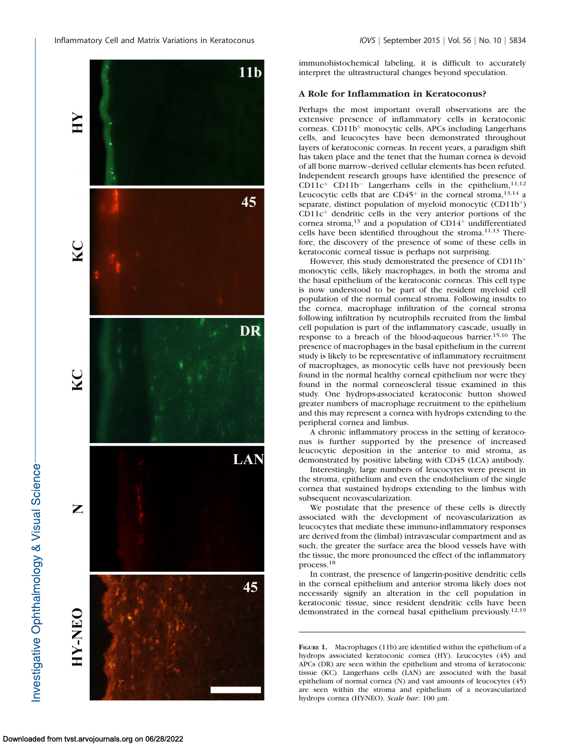

immunohistochemical labeling, it is difficult to accurately interpret the ultrastructural changes beyond speculation.

## A Role for Inflammation in Keratoconus?

Perhaps the most important overall observations are the extensive presence of inflammatory cells in keratoconic corneas. CD11b<sup>+</sup> monocytic cells, APCs including Langerhans cells, and leucocytes have been demonstrated throughout layers of keratoconic corneas. In recent years, a paradigm shift has taken place and the tenet that the human cornea is devoid of all bone marrow–derived cellular elements has been refuted. Independent research groups have identified the presence of  $CD11c<sup>+</sup> CD11b<sup>-</sup>$  Langerhans cells in the epithelium,  $11,12$ Leucocytic cells that are  $CD45<sup>+</sup>$  in the corneal stroma,<sup>13,14</sup> a separate, distinct population of myeloid monocytic (CD11b<sup>+</sup>)  $CD11c<sup>+</sup>$  dendritic cells in the very anterior portions of the cornea stroma,<sup>13</sup> and a population of CD14<sup>+</sup> undifferentiated cells have been identified throughout the stroma.<sup>11,13</sup> Therefore, the discovery of the presence of some of these cells in keratoconic corneal tissue is perhaps not surprising.

However, this study demonstrated the presence of  $CD11b^+$ monocytic cells, likely macrophages, in both the stroma and the basal epithelium of the keratoconic corneas. This cell type is now understood to be part of the resident myeloid cell population of the normal corneal stroma. Following insults to the cornea, macrophage infiltration of the corneal stroma following infiltration by neutrophils recruited from the limbal cell population is part of the inflammatory cascade, usually in response to a breach of the blood-aqueous barrier.15,16 The presence of macrophages in the basal epithelium in the current study is likely to be representative of inflammatory recruitment of macrophages, as monocytic cells have not previously been found in the normal healthy corneal epithelium nor were they found in the normal corneoscleral tissue examined in this study. One hydrops-associated keratoconic button showed greater numbers of macrophage recruitment to the epithelium and this may represent a cornea with hydrops extending to the peripheral cornea and limbus.

A chronic inflammatory process in the setting of keratoconus is further supported by the presence of increased leucocytic deposition in the anterior to mid stroma, as demonstrated by positive labeling with CD45 (LCA) antibody.

Interestingly, large numbers of leucocytes were present in the stroma, epithelium and even the endothelium of the single cornea that sustained hydrops extending to the limbus with subsequent neovascularization.

We postulate that the presence of these cells is directly associated with the development of neovascularization as leucocytes that mediate these immuno-inflammatory responses are derived from the (limbal) intravascular compartment and as such, the greater the surface area the blood vessels have with the tissue, the more pronounced the effect of the inflammatory process.18

In contrast, the presence of langerin-positive dendritic cells in the corneal epithelium and anterior stroma likely does not necessarily signify an alteration in the cell population in keratoconic tissue, since resident dendritic cells have been demonstrated in the corneal basal epithelium previously.12,19

FIGURE 1. Macrophages (11b) are identified within the epithelium of a hydrops associated keratoconic cornea (HY). Leucocytes (45) and APCs (DR) are seen within the epithelium and stroma of keratoconic tissue (KC). Langerhans cells (LAN) are associated with the basal epithelium of normal cornea (N) and vast amounts of leucocytes (45) are seen within the stroma and epithelium of a neovascularized hydrops cornea (HY-NEO). Scale bar: 100 µm.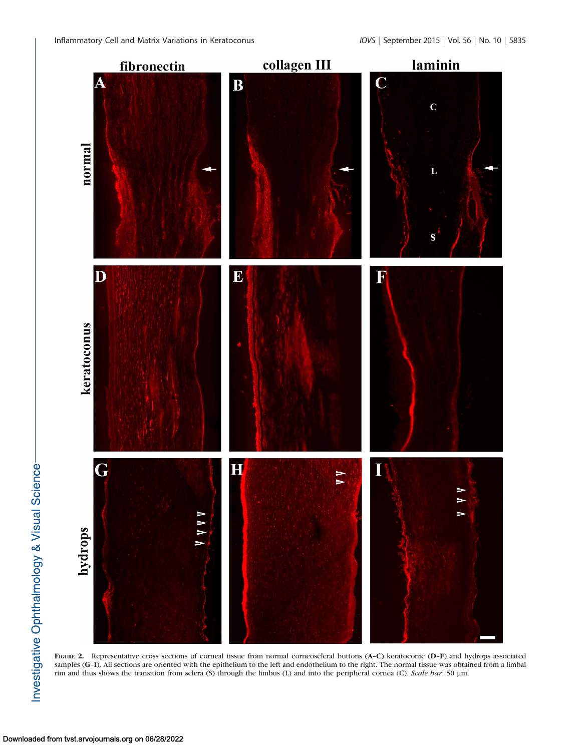

FIGURE 2. Representative cross sections of corneal tissue from normal corneoscleral buttons (A-C) keratoconic (D-F) and hydrops associated samples (G-I). All sections are oriented with the epithelium to the left and endothelium to the right. The normal tissue was obtained from a limbal rim and thus shows the transition from sclera (S) through the limbus (L) and into the peripheral cornea (C). Scale bar: 50 µm.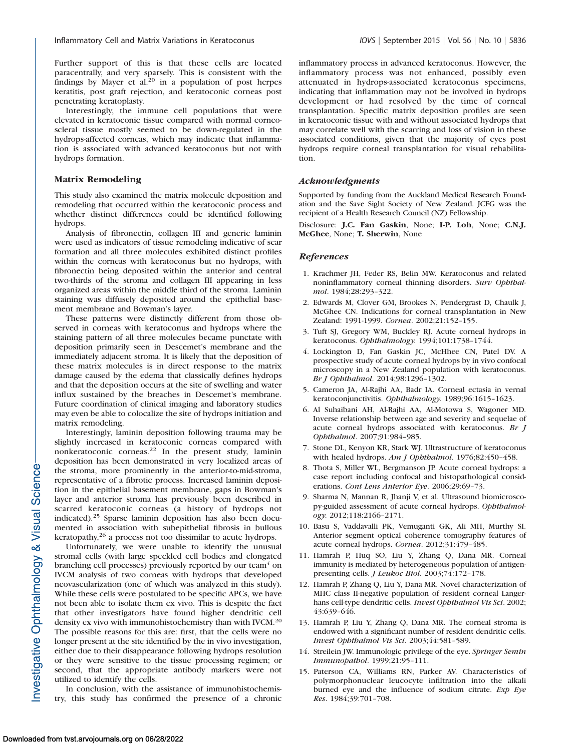Further support of this is that these cells are located paracentrally, and very sparsely. This is consistent with the findings by Mayer et al.<sup>20</sup> in a population of post herpes keratitis, post graft rejection, and keratoconic corneas post penetrating keratoplasty.

Interestingly, the immune cell populations that were elevated in keratoconic tissue compared with normal corneoscleral tissue mostly seemed to be down-regulated in the hydrops-affected corneas, which may indicate that inflammation is associated with advanced keratoconus but not with hydrops formation.

## Matrix Remodeling

This study also examined the matrix molecule deposition and remodeling that occurred within the keratoconic process and whether distinct differences could be identified following hydrops.

Analysis of fibronectin, collagen III and generic laminin were used as indicators of tissue remodeling indicative of scar formation and all three molecules exhibited distinct profiles within the corneas with keratoconus but no hydrops, with fibronectin being deposited within the anterior and central two-thirds of the stroma and collagen III appearing in less organized areas within the middle third of the stroma. Laminin staining was diffusely deposited around the epithelial basement membrane and Bowman's layer.

These patterns were distinctly different from those observed in corneas with keratoconus and hydrops where the staining pattern of all three molecules became punctate with deposition primarily seen in Descemet's membrane and the immediately adjacent stroma. It is likely that the deposition of these matrix molecules is in direct response to the matrix damage caused by the edema that classically defines hydrops and that the deposition occurs at the site of swelling and water influx sustained by the breaches in Descemet's membrane. Future coordination of clinical imaging and laboratory studies may even be able to colocalize the site of hydrops initiation and matrix remodeling.

Interestingly, laminin deposition following trauma may be slightly increased in keratoconic corneas compared with nonkeratoconic corneas.<sup>22</sup> In the present study, laminin deposition has been demonstrated in very localized areas of the stroma, more prominently in the anterior-to-mid-stroma, representative of a fibrotic process. Increased laminin deposition in the epithelial basement membrane, gaps in Bowman's layer and anterior stroma has previously been described in scarred keratoconic corneas (a history of hydrops not indicated).<sup>25</sup> Sparse laminin deposition has also been documented in association with subepithelial fibrosis in bullous keratopathy,<sup>26</sup> a process not too dissimilar to acute hydrops.

Unfortunately, we were unable to identify the unusual stromal cells (with large speckled cell bodies and elongated branching cell processes) previously reported by our team $4$  on IVCM analysis of two corneas with hydrops that developed neovascularization (one of which was analyzed in this study). While these cells were postulated to be specific APCs, we have not been able to isolate them ex vivo. This is despite the fact that other investigators have found higher dendritic cell density ex vivo with immunohistochemistry than with IVCM.<sup>20</sup> The possible reasons for this are: first, that the cells were no longer present at the site identified by the in vivo investigation, either due to their disappearance following hydrops resolution or they were sensitive to the tissue processing regimen; or second, that the appropriate antibody markers were not utilized to identify the cells.

In conclusion, with the assistance of immunohistochemistry, this study has confirmed the presence of a chronic inflammatory process in advanced keratoconus. However, the inflammatory process was not enhanced, possibly even attenuated in hydrops-associated keratoconus specimens, indicating that inflammation may not be involved in hydrops development or had resolved by the time of corneal transplantation. Specific matrix deposition profiles are seen in keratoconic tissue with and without associated hydrops that may correlate well with the scarring and loss of vision in these associated conditions, given that the majority of eyes post hydrops require corneal transplantation for visual rehabilitation.

## Acknowledgments

Supported by funding from the Auckland Medical Research Foundation and the Save Sight Society of New Zealand. JCFG was the recipient of a Health Research Council (NZ) Fellowship.

Disclosure: J.C. Fan Gaskin, None; I-P. Loh, None; C.N.J. McGhee, None; T. Sherwin, None

#### References

- 1. Krachmer JH, Feder RS, Belin MW. Keratoconus and related noninflammatory corneal thinning disorders. Surv Ophthalmol. 1984;28:293–322.
- 2. Edwards M, Clover GM, Brookes N, Pendergrast D, Chaulk J, McGhee CN. Indications for corneal transplantation in New Zealand: 1991-1999. Cornea. 2002;21:152–155.
- 3. Tuft SJ, Gregory WM, Buckley RJ. Acute corneal hydrops in keratoconus. Ophthalmology. 1994;101:1738–1744.
- 4. Lockington D, Fan Gaskin JC, McHhee CN, Patel DV. A prospective study of acute corneal hydrops by in vivo confocal microscopy in a New Zealand population with keratoconus. Br J Ophthalmol. 2014;98:1296–1302.
- 5. Cameron JA, Al-Rajhi AA, Badr IA. Corneal ectasia in vernal keratoconjunctivitis. Ophthalmology. 1989;96:1615–1623.
- 6. Al Suhaibani AH, Al-Rajhi AA, Al-Motowa S, Wagoner MD. Inverse relationship between age and severity and sequelae of acute corneal hydrops associated with keratoconus. Br J Ophthalmol. 2007;91:984–985.
- 7. Stone DL, Kenyon KR, Stark WJ. Ultrastructure of keratoconus with healed hydrops. Am J Ophthalmol. 1976;82:450-458.
- 8. Thota S, Miller WL, Bergmanson JP. Acute corneal hydrops: a case report including confocal and histopathological considerations. Cont Lens Anterior Eye. 2006;29:69–73.
- 9. Sharma N, Mannan R, Jhanji V, et al. Ultrasound biomicroscopy-guided assessment of acute corneal hydrops. Ophthalmology. 2012;118:2166–2171.
- 10. Basu S, Vaddavalli PK, Vemuganti GK, Ali MH, Murthy SI. Anterior segment optical coherence tomography features of acute corneal hydrops. Cornea. 2012;31:479–485.
- 11. Hamrah P, Huq SO, Liu Y, Zhang Q, Dana MR. Corneal immunity is mediated by heterogeneous population of antigenpresenting cells. J Leukoc Biol. 2003;74:172–178.
- 12. Hamrah P, Zhang Q, Liu Y, Dana MR. Novel characterization of MHC class II-negative population of resident corneal Langerhans cell-type dendritic cells. Invest Ophthalmol Vis Sci. 2002; 43:639–646.
- 13. Hamrah P, Liu Y, Zhang Q, Dana MR. The corneal stroma is endowed with a significant number of resident dendritic cells. Invest Ophthalmol Vis Sci. 2003;44:581–589.
- 14. Streilein JW. Immunologic privilege of the eye. Springer Semin Immunopathol. 1999;21:95–111.
- 15. Paterson CA, Williams RN, Parker AV. Characteristics of polymorphonuclear leucocyte infiltration into the alkali burned eye and the influence of sodium citrate. Exp Eye Res. 1984;39:701–708.